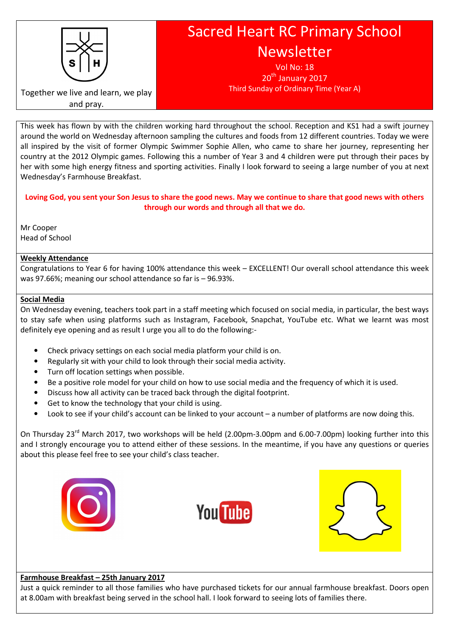

# Sacred Heart RC Primary School Newsletter

Vol No: 18 20<sup>th</sup> January 2017 Third Sunday of Ordinary Time (Year A)

Together we live and learn, we play and pray.

This week has flown by with the children working hard throughout the school. Reception and KS1 had a swift journey around the world on Wednesday afternoon sampling the cultures and foods from 12 different countries. Today we were all inspired by the visit of former Olympic Swimmer Sophie Allen, who came to share her journey, representing her country at the 2012 Olympic games. Following this a number of Year 3 and 4 children were put through their paces by her with some high energy fitness and sporting activities. Finally I look forward to seeing a large number of you at next Wednesday's Farmhouse Breakfast.

# Loving God, you sent your Son Jesus to share the good news. May we continue to share that good news with others through our words and through all that we do.

Mr Cooper Head of School

# Weekly Attendance

Congratulations to Year 6 for having 100% attendance this week – EXCELLENT! Our overall school attendance this week was 97.66%; meaning our school attendance so far is – 96.93%.

## Social Media

On Wednesday evening, teachers took part in a staff meeting which focused on social media, in particular, the best ways to stay safe when using platforms such as Instagram, Facebook, Snapchat, YouTube etc. What we learnt was most definitely eye opening and as result I urge you all to do the following:-

- Check privacy settings on each social media platform your child is on.
- Regularly sit with your child to look through their social media activity.
- Turn off location settings when possible.
- Be a positive role model for your child on how to use social media and the frequency of which it is used.
- Discuss how all activity can be traced back through the digital footprint.
- Get to know the technology that your child is using.
- Look to see if your child's account can be linked to your account a number of platforms are now doing this.

On Thursday 23<sup>rd</sup> March 2017, two workshops will be held (2.00pm-3.00pm and 6.00-7.00pm) looking further into this and I strongly encourage you to attend either of these sessions. In the meantime, if you have any questions or queries about this please feel free to see your child's class teacher.







## Farmhouse Breakfast – 25th January 2017

Just a quick reminder to all those families who have purchased tickets for our annual farmhouse breakfast. Doors open at 8.00am with breakfast being served in the school hall. I look forward to seeing lots of families there.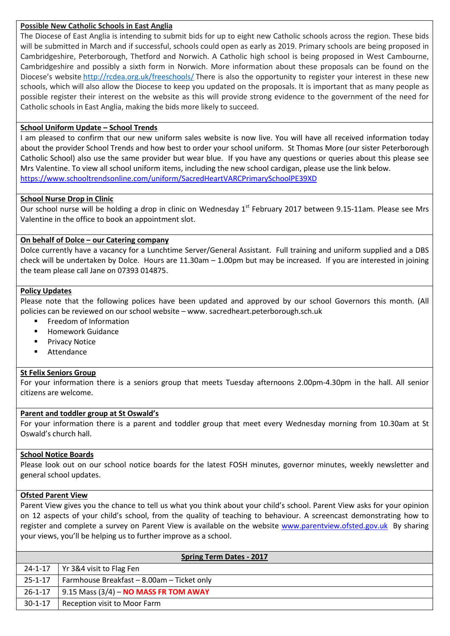## Possible New Catholic Schools in East Anglia

The Diocese of East Anglia is intending to submit bids for up to eight new Catholic schools across the region. These bids will be submitted in March and if successful, schools could open as early as 2019. Primary schools are being proposed in Cambridgeshire, Peterborough, Thetford and Norwich. A Catholic high school is being proposed in West Cambourne, Cambridgeshire and possibly a sixth form in Norwich. More information about these proposals can be found on the Diocese's website http://rcdea.org.uk/freeschools/ There is also the opportunity to register your interest in these new schools, which will also allow the Diocese to keep you updated on the proposals. It is important that as many people as possible register their interest on the website as this will provide strong evidence to the government of the need for Catholic schools in East Anglia, making the bids more likely to succeed.

# School Uniform Update – School Trends

I am pleased to confirm that our new uniform sales website is now live. You will have all received information today about the provider School Trends and how best to order your school uniform. St Thomas More (our sister Peterborough Catholic School) also use the same provider but wear blue. If you have any questions or queries about this please see Mrs Valentine. To view all school uniform items, including the new school cardigan, please use the link below. https://www.schooltrendsonline.com/uniform/SacredHeartVARCPrimarySchoolPE39XD

## School Nurse Drop in Clinic

Our school nurse will be holding a drop in clinic on Wednesday 1<sup>st</sup> February 2017 between 9.15-11am. Please see Mrs Valentine in the office to book an appointment slot.

## On behalf of Dolce – our Catering company

Dolce currently have a vacancy for a Lunchtime Server/General Assistant. Full training and uniform supplied and a DBS check will be undertaken by Dolce. Hours are 11.30am – 1.00pm but may be increased. If you are interested in joining the team please call Jane on 07393 014875.

## Policy Updates

Please note that the following polices have been updated and approved by our school Governors this month. (All policies can be reviewed on our school website – www. sacredheart.peterborough.sch.uk

- Freedom of Information
- **Homework Guidance**
- Privacy Notice
- **Attendance**

## St Felix Seniors Group

For your information there is a seniors group that meets Tuesday afternoons 2.00pm-4.30pm in the hall. All senior citizens are welcome.

## Parent and toddler group at St Oswald's

For your information there is a parent and toddler group that meet every Wednesday morning from 10.30am at St Oswald's church hall.

## School Notice Boards

Please look out on our school notice boards for the latest FOSH minutes, governor minutes, weekly newsletter and general school updates.

## Ofsted Parent View

Parent View gives you the chance to tell us what you think about your child's school. Parent View asks for your opinion on 12 aspects of your child's school, from the quality of teaching to behaviour. A screencast demonstrating how to register and complete a survey on Parent View is available on the website www.parentview.ofsted.gov.uk By sharing your views, you'll be helping us to further improve as a school.

| <b>Spring Term Dates - 2017</b> |                                            |
|---------------------------------|--------------------------------------------|
|                                 | 24-1-17   Yr 3&4 visit to Flag Fen         |
| 25-1-17                         | Farmhouse Breakfast - 8.00am - Ticket only |
| 26-1-17                         | 9.15 Mass $(3/4)$ – NO MASS FR TOM AWAY    |
| $30-1-17$                       | Reception visit to Moor Farm               |